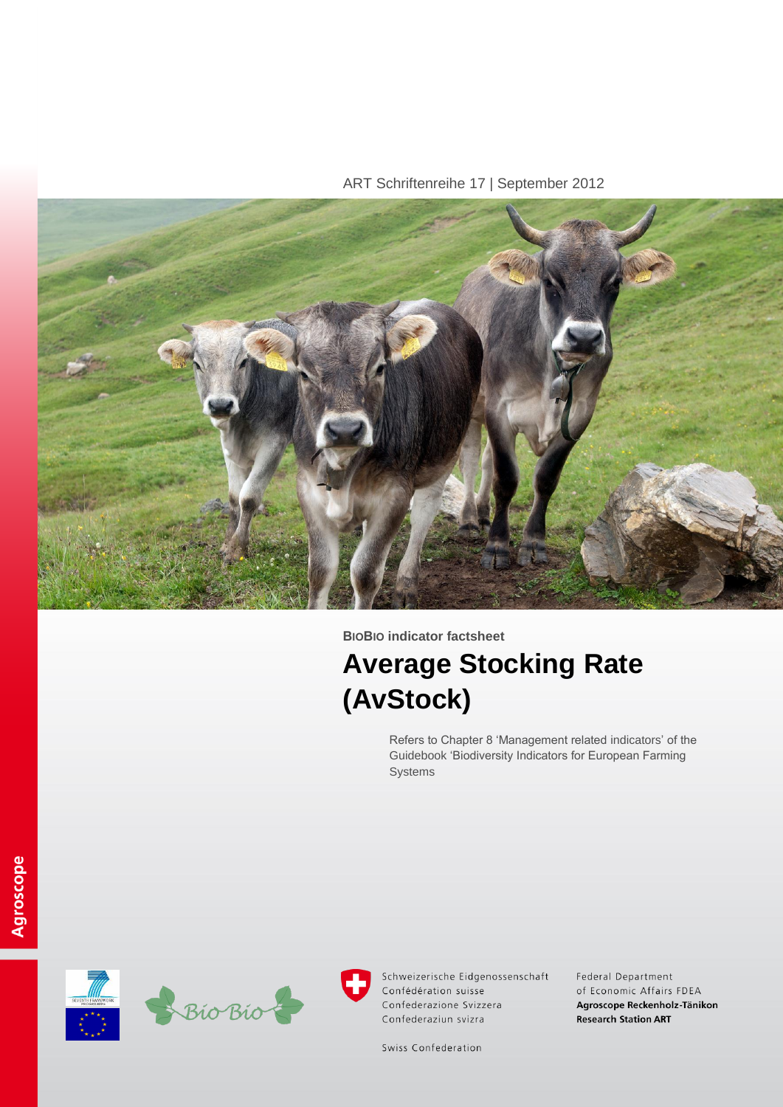ART Schriftenreihe 17 | September 2012



**BIOBIO indicator factsheet**

# **Average Stocking Rate (AvStock)**

Refers to Chapter 8 'Management related indicators' of the Guidebook 'Biodiversity Indicators for European Farming Systems





Schweizerische Eidgenossenschaft Confédération suisse Confederazione Svizzera Confederaziun svizra

Federal Department of Economic Affairs FDEA Agroscope Reckenholz-Tänikon **Research Station ART** 

Swiss Confederation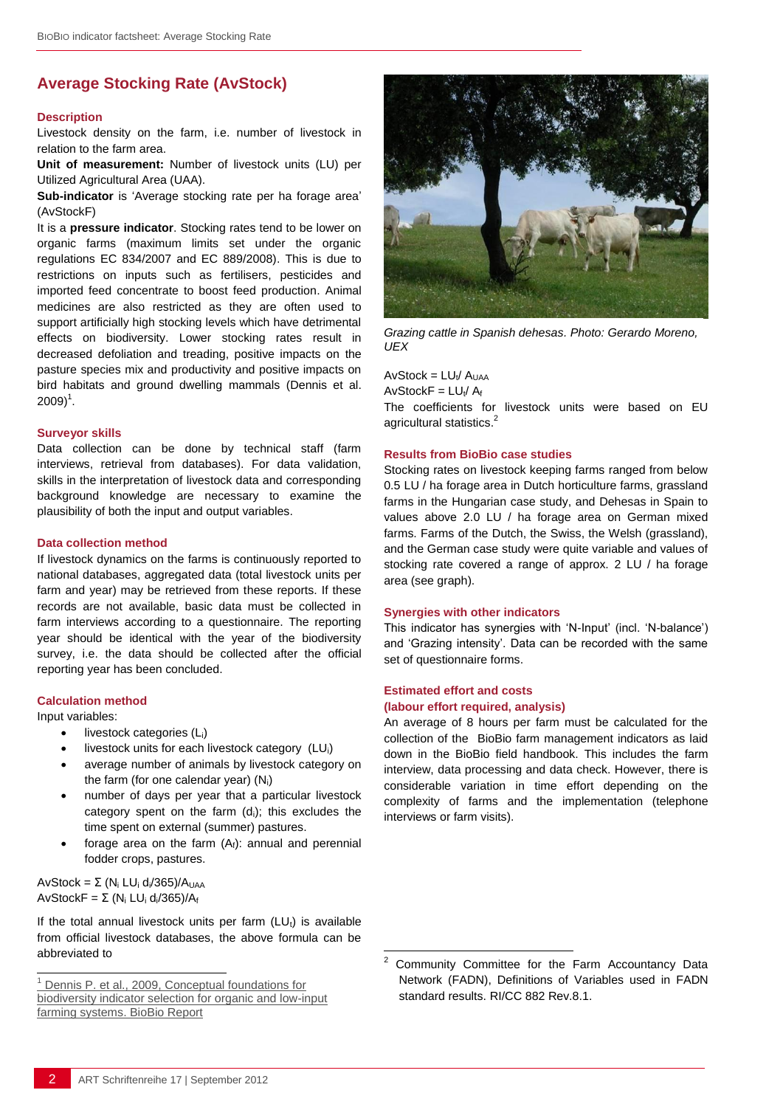# **Average Stocking Rate (AvStock)**

#### **Description**

Livestock density on the farm, i.e. number of livestock in relation to the farm area.

**Unit of measurement:** Number of livestock units (LU) per Utilized Agricultural Area (UAA).

**Sub-indicator** is 'Average stocking rate per ha forage area' (AvStockF)

It is a **pressure indicator**. Stocking rates tend to be lower on organic farms (maximum limits set under the organic regulations EC 834/2007 and EC 889/2008). This is due to restrictions on inputs such as fertilisers, pesticides and imported feed concentrate to boost feed production. Animal medicines are also restricted as they are often used to support artificially high stocking levels which have detrimental effects on biodiversity. Lower stocking rates result in decreased defoliation and treading, positive impacts on the pasture species mix and productivity and positive impacts on bird habitats and ground dwelling mammals (Dennis et al.  $2009)^{1}$ .

#### **Surveyor skills**

Data collection can be done by technical staff (farm interviews, retrieval from databases). For data validation, skills in the interpretation of livestock data and corresponding background knowledge are necessary to examine the plausibility of both the input and output variables.

## **Data collection method**

If livestock dynamics on the farms is continuously reported to national databases, aggregated data (total livestock units per farm and year) may be retrieved from these reports. If these records are not available, basic data must be collected in farm interviews according to a questionnaire. The reporting year should be identical with the year of the biodiversity survey, i.e. the data should be collected after the official reporting year has been concluded.

#### **Calculation method**

Input variables:

l

- livestock categories (Li)
- livestock units for each livestock category (LUi)
- average number of animals by livestock category on the farm (for one calendar year)  $(N_i)$
- number of days per year that a particular livestock category spent on the farm  $(d<sub>i</sub>)$ ; this excludes the time spent on external (summer) pastures.
- forage area on the farm  $(A<sub>f</sub>)$ : annual and perennial fodder crops, pastures.

AvStock = Σ (N<sub>i</sub> LU<sub>i</sub> d<sub>i</sub>/365)/A<sub>UAA</sub> AvStockF =  $\Sigma$  (N<sub>i</sub> LU<sub>i</sub> d<sub>i</sub>/365)/A<sub>f</sub>

If the total annual livestock units per farm  $(LU_t)$  is available from official livestock databases, the above formula can be abbreviated to



*Grazing cattle in Spanish dehesas. Photo: Gerardo Moreno, UEX*

 $AvStock = LU_t / A_{UAA}$ 

 $AvStockF = LU_t/A_t$ 

The coefficients for livestock units were based on EU agricultural statistics.<sup>2</sup>

### **Results from BioBio case studies**

Stocking rates on livestock keeping farms ranged from below 0.5 LU / ha forage area in Dutch horticulture farms, grassland farms in the Hungarian case study, and Dehesas in Spain to values above 2.0 LU / ha forage area on German mixed farms. Farms of the Dutch, the Swiss, the Welsh (grassland), and the German case study were quite variable and values of stocking rate covered a range of approx. 2 LU / ha forage area (see graph).

#### **Synergies with other indicators**

This indicator has synergies with 'N-Input' (incl. 'N-balance') and 'Grazing intensity'. Data can be recorded with the same set of questionnaire forms.

#### **Estimated effort and costs (labour effort required, analysis)**

 $\overline{a}$ 

An average of 8 hours per farm must be calculated for the collection of the BioBio farm management indicators as laid down in the BioBio field handbook. This includes the farm interview, data processing and data check. However, there is considerable variation in time effort depending on the complexity of farms and the implementation (telephone interviews or farm visits).

Dennis P. et al., 2009, Conceptual foundations for [biodiversity indicator selection for organic and low-input](http://www.biobio-indicator.org/deliverables/D21.pdf)  [farming systems. BioBio Report](http://www.biobio-indicator.org/deliverables/D21.pdf)

<sup>2</sup> Community Committee for the Farm Accountancy Data Network (FADN), Definitions of Variables used in FADN standard results. RI/CC 882 Rev.8.1.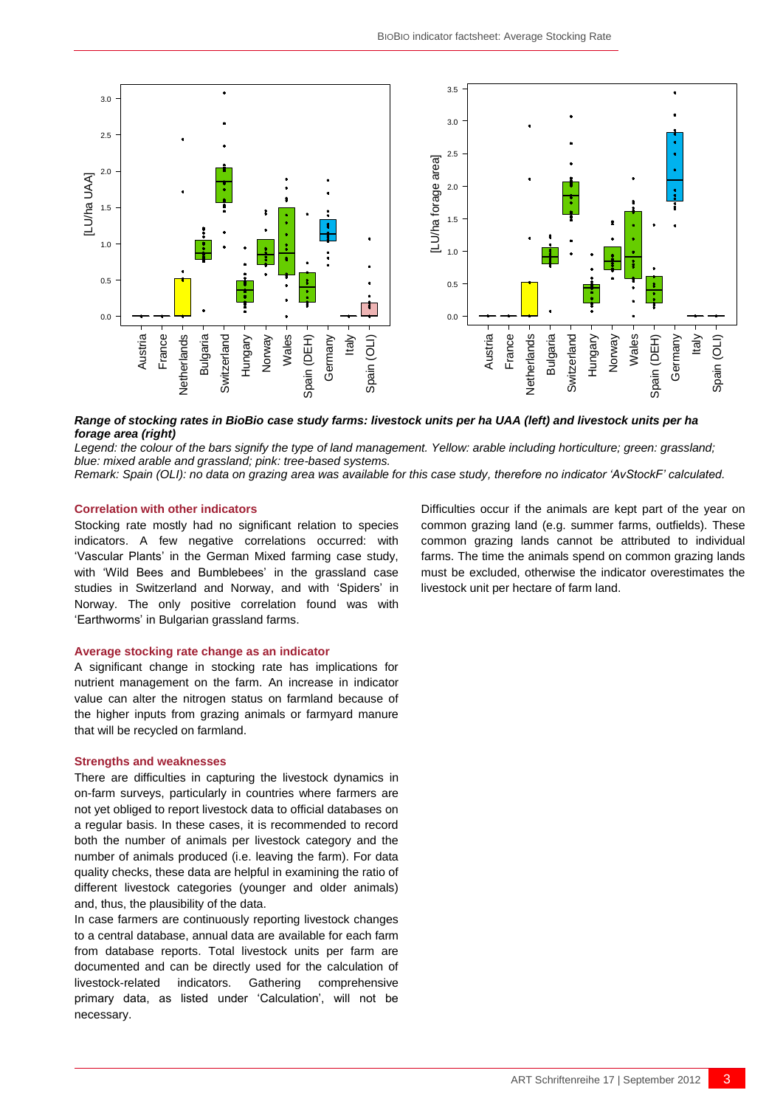

### *Range of stocking rates in BioBio case study farms: livestock units per ha UAA (left) and livestock units per ha forage area (right)*

Legend: the colour of the bars signify the type of land management. Yellow: arable including horticulture; green: grassland; *blue: mixed arable and grassland; pink: tree-based systems.*

*Remark: Spain (OLI): no data on grazing area was available for this case study, therefore no indicator 'AvStockF' calculated.*

#### **Correlation with other indicators**

Stocking rate mostly had no significant relation to species indicators. A few negative correlations occurred: with 'Vascular Plants' in the German Mixed farming case study, with 'Wild Bees and Bumblebees' in the grassland case studies in Switzerland and Norway, and with 'Spiders' in Norway. The only positive correlation found was with 'Earthworms' in Bulgarian grassland farms.

#### **Average stocking rate change as an indicator**

A significant change in stocking rate has implications for nutrient management on the farm. An increase in indicator value can alter the nitrogen status on farmland because of the higher inputs from grazing animals or farmyard manure that will be recycled on farmland.

#### **Strengths and weaknesses**

There are difficulties in capturing the livestock dynamics in on-farm surveys, particularly in countries where farmers are not yet obliged to report livestock data to official databases on a regular basis. In these cases, it is recommended to record both the number of animals per livestock category and the number of animals produced (i.e. leaving the farm). For data quality checks, these data are helpful in examining the ratio of different livestock categories (younger and older animals) and, thus, the plausibility of the data.

In case farmers are continuously reporting livestock changes to a central database, annual data are available for each farm from database reports. Total livestock units per farm are documented and can be directly used for the calculation of livestock-related indicators. Gathering comprehensive primary data, as listed under 'Calculation', will not be necessary.

ART Schriftenreihe 17 | September 2012 **ART Schriftenreihe 17** | September 2012 **AUSTRE ART Schriftenreihe 17** | September 2012 **AUSTRE ART Schriftenreihe 17** | September 2012 **AUSTRE ART Schriftenreihe 17** | September 20 Difficulties occur if the animals are kept part of the year on common grazing land (e.g. summer farms, outfields). These common grazing lands cannot be attributed to individual farms. The time the animals spend on common grazing lands must be excluded, otherwise the indicator overestimates the